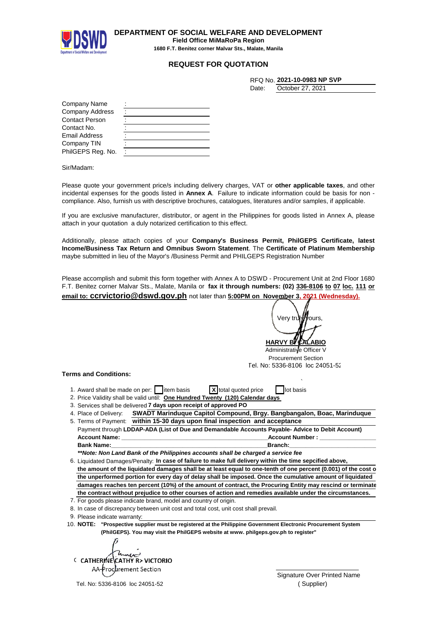

**DEPARTMENT OF SOCIAL WELFARE AND DEVELOPMENT Field Office MiMaRoPa Region 1680 F.T. Benitez corner Malvar Sts., Malate, Manila**

## **REQUEST FOR QUOTATION**

|       | RFQ No. 2021-10-0983 NP SVP |
|-------|-----------------------------|
| Date: | October 27, 2021            |

| Company Name          |  |
|-----------------------|--|
| Company Address       |  |
| <b>Contact Person</b> |  |
| Contact No.           |  |
| <b>Email Address</b>  |  |
| Company TIN           |  |
| PhilGEPS Reg. No.     |  |

Sir/Madam:

Please quote your government price/s including delivery charges, VAT or **other applicable taxes**, and other incidental expenses for the goods listed in **Annex A**. Failure to indicate information could be basis for non compliance. Also, furnish us with descriptive brochures, catalogues, literatures and/or samples, if applicable.

If you are exclusive manufacturer, distributor, or agent in the Philippines for goods listed in Annex A, please attach in your quotation a duly notarized certification to this effect.

Additionally, please attach copies of your **Company's Business Permit, PhilGEPS Certificate, latest Income/Business Tax Return and Omnibus Sworn Statement**. The **Certificate of Platinum Membership** maybe submitted in lieu of the Mayor's /Business Permit and PHILGEPS Registration Number

Please accomplish and submit this form together with Annex A to DSWD - Procurement Unit at 2nd Floor 1680 F.T. Benitez corner Malvar Sts., Malate, Manila or **fax it through numbers: (02) 336-8106 to 07 loc. 111 or email to: ccrvictorio@dswd.gov.ph** not later than **5:00PM on November 3, 2021 (Wednesday).**

**HARVY B** Verv trul*iii v*ours

Administrative Officer V Procurement Section Tel. No: 5336-8106 loc 24051-52

## **Terms and Conditions:**

| X total quoted price lot basis<br>1. Award shall be made on per: $\Box$ item basis |  |
|------------------------------------------------------------------------------------|--|
| 2. Price Validity shall be valid until: One Hundred Twenty (120) Calendar days     |  |
| 2. Convices aboll be delivered <b>7 days upon resolut of approved DO</b>           |  |

- 3. Services shall be delivered **7 days upon receipt of approved PO**
- 4. Place of Delivery: **SWADT Marinduque Capitol Compound, Brgy. Bangbangalon, Boac, Marinduque** 5. Terms of Payment: **within 15-30 days upon final inspection and acceptance**

| Payment through LDDAP-ADA (List of Due and Demandable Accounts Payable-Advice to Debit Account) |                        |  |  |
|-------------------------------------------------------------------------------------------------|------------------------|--|--|
| <b>Account Name:</b>                                                                            | <b>Account Number:</b> |  |  |
| Bank Name:                                                                                      | <b>Branch:</b>         |  |  |

*\*\*Note: Non Land Bank of the Philippines accounts shall be charged a service fee*

6. Liquidated Damages/Penalty: In case of failure to make full delivery within the time sepcified above, the amount of the liquidated damages shall be at least equal to one-tenth of one percent (0.001) of the cost o **the unperformed portion for every day of delay shall be imposed. Once the cumulative amount of liquidated damages reaches ten percent (10%) of the amount of contract, the Procuring Entity may rescind or terminate the contract without prejudice to other courses of action and remedies available under the circumstances.**

7. For goods please indicate brand, model and country of origin.

8. In case of discrepancy between unit cost and total cost, unit cost shall prevail.

9. Please indicate warranty:

10. **"Prospective supplier must be registered at the Philippine Government Electronic Procurement System NOTE: (PhilGEPS). You may visit the PhilGEPS website at www. philgeps.gov.ph to register"**

me **CATHERINE CATHY R> VICTORIO**  $\cup$ 

Tel. No: 5336-8106 loc 24051-52

Signature Over Printed Name ( Supplier)